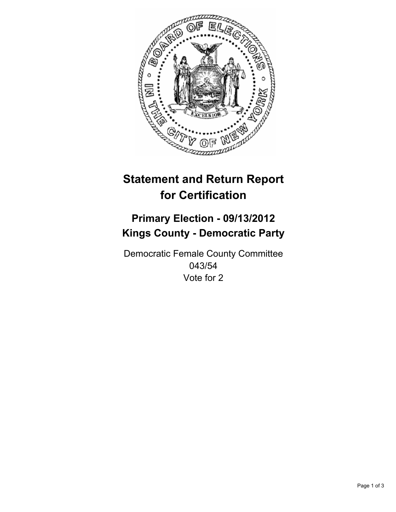

# **Statement and Return Report for Certification**

## **Primary Election - 09/13/2012 Kings County - Democratic Party**

Democratic Female County Committee 043/54 Vote for 2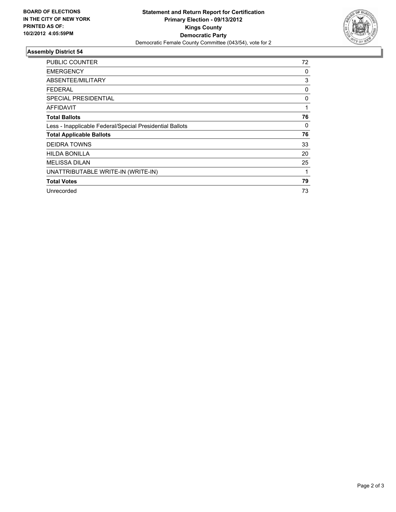

#### **Assembly District 54**

| <b>PUBLIC COUNTER</b>                                    | 72 |
|----------------------------------------------------------|----|
| <b>EMERGENCY</b>                                         | 0  |
| ABSENTEE/MILITARY                                        | 3  |
| <b>FEDERAL</b>                                           | 0  |
| <b>SPECIAL PRESIDENTIAL</b>                              | 0  |
| AFFIDAVIT                                                | 1  |
| <b>Total Ballots</b>                                     | 76 |
| Less - Inapplicable Federal/Special Presidential Ballots | 0  |
| <b>Total Applicable Ballots</b>                          | 76 |
| <b>DEIDRA TOWNS</b>                                      | 33 |
| <b>HILDA BONILLA</b>                                     | 20 |
| <b>MELISSA DILAN</b>                                     | 25 |
| UNATTRIBUTABLE WRITE-IN (WRITE-IN)                       | 1  |
| <b>Total Votes</b>                                       | 79 |
| Unrecorded                                               | 73 |